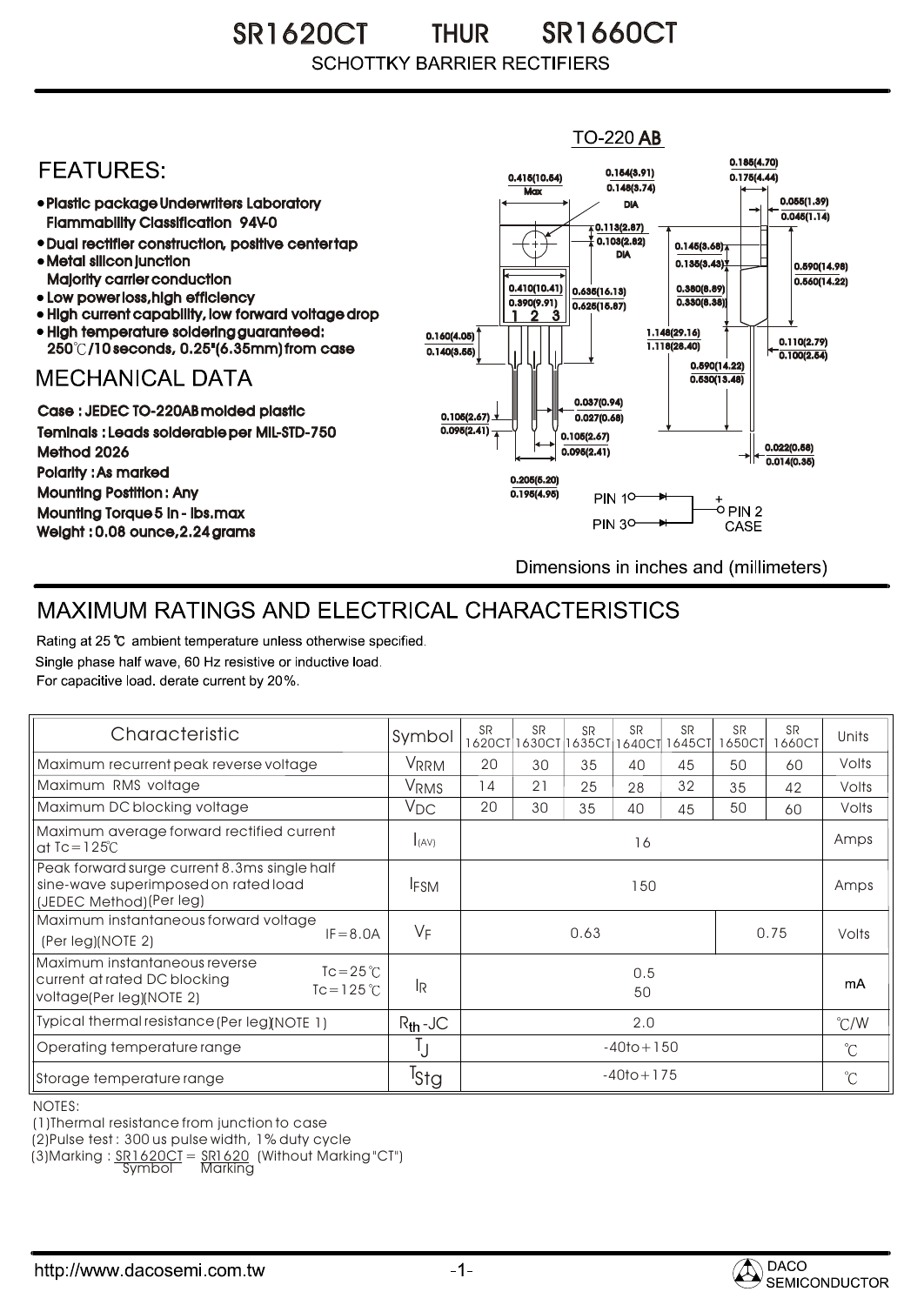SR1620CT THUR SR1660CT THUR **SCHOTTKY BARRIER RECTIFIERS** 

## **TO-220 AB** 0.185(4.70) **FFATURFS:** 0.154(3.91) 0.415(10.54) 0.175(4.44)  $0.148(3.74)$ **Max** Plastic package Underwriters Laboratory 0.055(1.39) DIA  $\overline{0.045(1.14)}$ Flammability Classification 94V-0  $\overline{4}$  0.113(2.87) 0.103(2.82) Dual rectifier construction, positive center tap 0.145(3.68) DIA Metal silicon junction  $0.135(3.43)$ 0.590(14.98) Majority carrier conduction  $0.560(14.22)$ 0.410(10.41) 0.380(8.89) 0.635(16.13) • Low power loss, high efficiency 0.330(8.38)) 0.390(9.91)  $0.625(15.87)$ High current capability, low forward voltage drop 1 3 2High temperature soldering guaranteed: 1.148(29.16) 0.160(4.05) 0.110(2.79) 250 /10 seconds, 0.25"(6.35mm) from case 1.118(28.40) 0.140(3.55)  $\overline{0.100(2.54)}$ 0.590(14.22) **MECHANICAL DATA**  $0.530(13.48)$ 0.037(0.94) Case : JEDEC TO-220AB molded plastic 0.105(2.67)  $0.027(0.68)$ Teminals : Leads solderable per MIL-STD-750  $0.095(2.41)$ 0.105(2.67) 0.022(0.58) Method 2026  $0.095(2.41)$  $0.014(0.35)$ Polarity : As marked 0.205(5.20) Mounting Postition : Any 0.195(4.95) **PIN 10-**+<br>-0 PIN 2 Mounting Torque 5 in - lbs.max **PIN 30-**CASE Weight : 0.08 ounce,2.24 grams Dimensions in inches and (millimeters)

## MAXIMUM RATINGS AND ELECTRICAL CHARACTERISTICS

Rating at 25 °C ambient temperature unless otherwise specified. Single phase half wave, 60 Hz resistive or inductive load. For capacitive load, derate current by 20%.

| Characteristic                                                                                                                   | Symbol           | <b>SR</b><br>1620CT | <b>SR</b><br>1630CT | <b>SR</b> | <b>SR</b> | <b>SR</b><br>1635CT 1640CT 1645CT | <b>SR</b><br>1650CT | <b>SR</b><br>1660CT | Units        |
|----------------------------------------------------------------------------------------------------------------------------------|------------------|---------------------|---------------------|-----------|-----------|-----------------------------------|---------------------|---------------------|--------------|
| Maximum recurrent peak reverse voltage                                                                                           | VRRM             | 20                  | 30                  | 35        | 40        | 45                                | 50                  | 60                  | Volts        |
| Maximum RMS voltage                                                                                                              | <b>VRMS</b>      | 14                  | 21                  | 25        | 28        | 32                                | 35                  | 42                  | Volts        |
| Maximum DC blocking voltage                                                                                                      | $V_{DC}$         | 20                  | 30                  | 35        | 40        | 45                                | 50                  | 60                  | Volts        |
| Maximum average forward rectified current<br>at $Tc = 125^\circ C$                                                               | I(AV)            | 16                  |                     |           |           |                                   |                     |                     | Amps         |
| Peak forward surge current 8.3ms single half<br>sine-wave superimposed on rated load<br>(JEDEC Method)(Per leg)                  | <b>IFSM</b>      | 150                 |                     |           |           |                                   |                     |                     | Amps         |
| Maximum instantaneous forward voltage<br>$IF = 8.0A$<br>(Per leg)(NOTE 2)                                                        | $V_F$            | 0.63<br>0.75        |                     |           |           |                                   |                     | Volts               |              |
| Maximum instantaneous reverse<br>$Tc = 25^{\circ}C$<br>current at rated DC blocking<br>$Tc = 125$ °C<br>voltage(Per leg)(NOTE 2) | <b>IR</b>        | 0.5<br>50           |                     |           |           |                                   |                     | mA                  |              |
| Typical thermal resistance (Per leg)(NOTE 1)                                                                                     | $R_{th}$ -JC     | 2.0                 |                     |           |           |                                   |                     | $\degree$ C/W       |              |
| Operating temperature range                                                                                                      | IJ               | $-40$ to + 150      |                     |           |           |                                   |                     | $^{\circ}C$         |              |
| Storage temperature range                                                                                                        | <sup>I</sup> Stg | $-40$ to + 175      |                     |           |           |                                   |                     |                     | $^{\circ}$ C |

NOTES:

(1)Thermal resistance from junction to case

(2)Pulse test : 300 us pulse width, 1% duty cycle

(3)Marking : <u>SR1620CT</u> = <u>SR1620</u> (Without Marking "CT") R

Symbol Marking